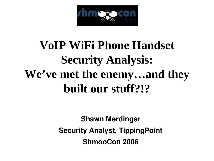

#### **VoIP WiFi Phone Handset Security Analysis: We've met the enemy…and they built our stuff?!?**

**Shawn Merdinger Security Analyst, TippingPoint ShmooCon 2006**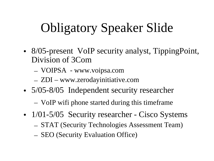# Obligatory Speaker Slide

- 8/05-present VoIP security analyst, TippingPoint, Division of 3Com
	- VOIPSA www.voipsa.com
	- ZDI www.zerodayinitiative.com
- 5/05-8/05 Independent security researcher
	- VoIP wifi phone started during this timeframe
- 1/01-5/05 Security researcher Cisco Systems
	- STAT (Security Technologies Assessment Team)
	- SEO (Security Evaluation Office)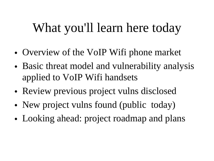#### What you'll learn here today

- Overview of the VoIP Wifi phone market
- Basic threat model and vulnerability analysis applied to VoIP Wifi handsets
- Review previous project vulns disclosed
- New project vulns found (public today)
- Looking ahead: project roadmap and plans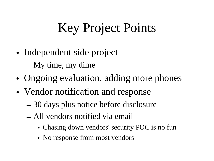# Key Project Points

- Independent side project – My time, my dime
- Ongoing evaluation, adding more phones
- Vendor notification and response
	- 30 days plus notice before disclosure
	- All vendors notified via email
		- Chasing down vendors' security POC is no fun
		- No response from most vendors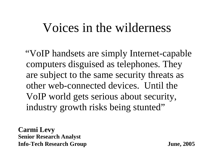#### Voices in the wilderness

"VoIP handsets are simply Internet-capable computers disguised as telephones. They are subject to the same security threats as other web-connected devices. Until the VoIP world gets serious about security, industry growth risks being stunted"

**Carmi Levy Senior Research Analyst Info-Tech Research Group June, 2005**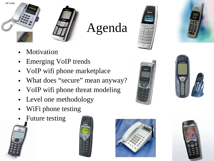



#### Agenda





- **Motivation**
- Emerging VoIP trends
- VoIP wifi phone marketplace
- What does "secure" mean anyway?
- VoIP wifi phone threat modeling
- Level one methodology
- WiFi phone testing
- Future testing









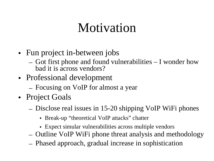#### Motivation

- Fun project in-between jobs
	- Got first phone and found vulnerabilities I wonder how bad it is across vendors?
- Professional development
	- Focusing on VoIP for almost a year
- Project Goals
	- Disclose real issues in 15-20 shipping VoIP WiFi phones
		- Break-up "theoretical VoIP attacks" chatter
		- Expect simular vulnerabilities across multiple vendors
	- Outline VoIP WiFi phone threat analysis and methodology
	- Phased approach, gradual increase in sophistication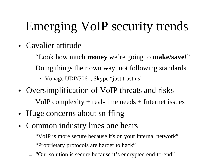# Emerging VoIP security trends

- Cavalier attitude
	- "Look how much **money** we're going to **make/save**!"
	- Doing things their own way, not following standards
		- Vonage UDP/5061, Skype "just trust us"
- Oversimplification of VoIP threats and risks
	- $-$  VoIP complexity  $+$  real-time needs  $+$  Internet issues
- Huge concerns about sniffing
- Common industry lines one hears
	- "VoIP is more secure because it's on your internal network"
	- "Proprietary protocols are harder to hack"
	- "Our solution is secure because it's encrypted end-to-end"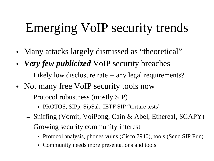# Emerging VoIP security trends

- Many attacks largely dismissed as "theoretical"
- *Very few publicized* VoIP security breaches
	- Likely low disclosure rate -- any legal requirements?
- Not many free VoIP security tools now
	- Protocol robustness (mostly SIP)
		- PROTOS, SIPp, SipSak, IETF SIP "torture tests"
	- Sniffing (Vomit, VoiPong, Cain & Abel, Ethereal, SCAPY)
	- Growing security community interest
		- Protocol analysis, phones vulns (Cisco 7940), tools (Send SIP Fun)
		- Community needs more presentations and tools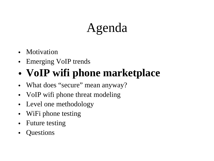### Agenda

- Motivation
- Emerging VoIP trends

#### • **VoIP wifi phone marketplace**

- What does "secure" mean anyway?
- VoIP wifi phone threat modeling
- Level one methodology
- WiFi phone testing
- Future testing
- Questions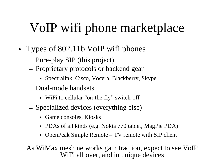# VoIP wifi phone marketplace

- Types of 802.11b VoIP wifi phones
	- Pure-play SIP (this project)
	- Proprietary protocols or backend gear
		- Spectralink, Cisco, Vocera, Blackberry, Skype
	- Dual-mode handsets
		- WiFi to cellular "on-the-fly" switch-off
	- Specialized devices (everything else)
		- Game consoles, Kiosks
		- PDAs of all kinds (e.g. Nokia 770 tablet, MagPie PDA)
		- OpenPeak Simple Remote TV remote with SIP client

As WiMax mesh networks gain traction, expect to see VoIP WiFi all over, and in unique devices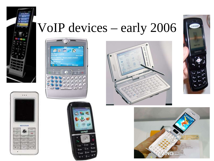

 $\cdots$ 

NETGEAR

ABCS

**IKL's** 

**TUVA** 

 $+0$ 

 $\rightarrow$ 

DEF<sub>s</sub>

MNO'6

min2o

 $N-1$ 

×

 $00<sub>1</sub>$ 

**GHIA** 

FORSy

**REWA** 

٠

#### VoIP devices – early 2006









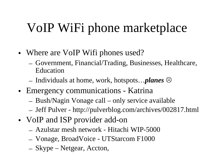# VoIP WiFi phone marketplace

- Where are VoIP Wifi phones used?
	- Government, Financial/Trading, Businesses, Healthcare, Education
	- Individuals at home, work, hotspots…*planes*
- Emergency communications Katrina
	- Bush/Nagin Vonage call only service available
	- Jeff Pulver http://pulverblog.com/archives/002817.html
- VoIP and ISP provider add-on
	- Azulstar mesh network Hitachi WIP-5000
	- Vonage, BroadVoice UTStarcom F1000
	- Skype Netgear, Accton,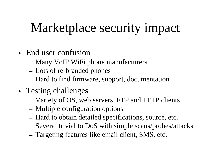# Marketplace security impact

- End user confusion
	- Many VoIP WiFi phone manufacturers
	- Lots of re-branded phones
	- Hard to find firmware, support, documentation
- Testing challenges
	- Variety of OS, web servers, FTP and TFTP clients
	- Multiple configuration options
	- Hard to obtain detailed specifications, source, etc.
	- Several trivial to DoS with simple scans/probes/attacks
	- Targeting features like email client, SMS, etc.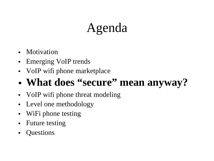### Agenda

- **Motivation**
- Emerging VoIP trends
- VoIP wifi phone marketplace

#### • **What does "secure" mean anyway?**

- VoIP wifi phone threat modeling
- Level one methodology
- WiFi phone testing
- Future testing
- Questions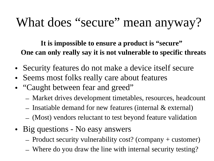### What does "secure" mean anyway?

**It is impossible to ensure a product is "secure" One can only really say it is not vulnerable to specific threats**

- Security features do not make a device itself secure
- Seems most folks really care about features
- "Caught between fear and greed"
	- Market drives development timetables, resources, headcount
	- Insatiable demand for new features (internal & external)
	- (Most) vendors reluctant to test beyond feature validation
- Big questions No easy answers
	- Product security vulnerability cost? (company + customer)
	- Where do you draw the line with internal security testing?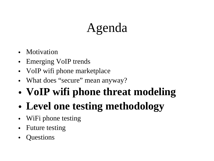# Agenda

- **Motivation**
- Emerging VoIP trends
- VoIP wifi phone market place
- What does "secure" mean anyway?
- **VoIP wifi phone threat modeling**
- **Level one testing methodology**
- WiFi phone testing
- Future testing
- Questions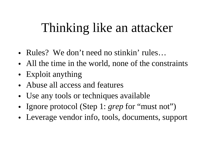#### Thinking like an attacker

- Rules? We don't need no stinkin' rules...
- All the time in the world, none of the constraints
- Exploit anything
- Abuse all access and features
- Use any tools or techniques available
- Ignore protocol (Step 1: *grep* for "must not")
- Leverage vendor info, tools, documents, support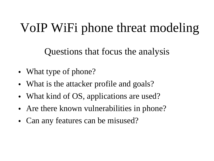# VoIP WiFi phone threat modeling

Questions that focus the analysis

- What type of phone?
- What is the attacker profile and goals?
- What kind of OS, applications are used?
- Are there known vulnerabilities in phone?
- Can any features can be misused?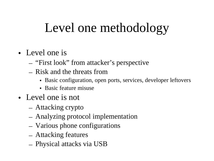## Level one methodology

- Level one is
	- "First look" from attacker's perspective
	- Risk and the threats from
		- Basic configuration, open ports, services, developer leftovers
		- Basic feature misuse
- Level one is not
	- Attacking crypto
	- Analyzing protocol implementation
	- Various phone configurations
	- Attacking features
	- Physical attacks via USB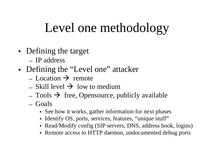#### Level one methodology

- Defining the target
	- IP address
- Defining the "Level one" attacker
	- Location  $\rightarrow$  remote
	- $\overline{\phantom{a}}$  Skill level  $\rightarrow$  low to medium
	- $\sim$  Tools  $\rightarrow$  free, Opensource, publicly available
	- Goals
		- See how it works, gather information for next phases
		- Identify OS, ports, services, features, "unique stuff"
		- Read/Modify config (SIP servers, DNS, address book, logins)
		- Remote access to HTTP daemon, undocumented debug ports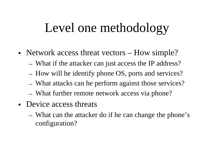#### Level one methodology

- Network access threat vectors How simple?
	- What if the attacker can just access the IP address?
	- How will he identify phone OS, ports and services?
	- What attacks can he perform against those services?
	- What further remote network access via phone?
- Device access threats
	- What can the attacker do if he can change the phone's configuration?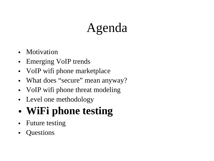# Agenda

- Motivation
- Emerging VoIP trends
- VoIP wifi phone marketplace
- What does "secure" mean anyway?
- VoIP wifi phone threat modeling
- Level one methodology

#### • **WiFi phone testing**

- Future testing
- Questions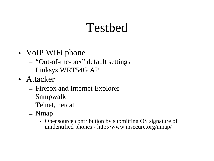#### Testbed

- VoIP WiFi phone
	- "Out-of-the-box" default settings
	- Linksys WRT54G AP
- Attacker
	- Firefox and Internet Explorer
	- Snmpwalk
	- Telnet, netcat
	- Nmap
		- Opensource contribution by submitting OS signature of unidentified phones - http://www.insecure.org/nmap/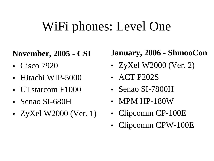#### WiFi phones: Level One

#### **November, 2005 - CSI**

- Cisco 7920
- Hitachi WIP-5000
- UTstarcom F1000
- Senao SI-680H
- ZyXel W2000 (Ver. 1)

#### **January, 2006 - ShmooCon**

- ZyXel W2000 (Ver. 2)
- **ACT P202S**
- Senao SI-7800H
- MPM HP-180W
- Clipcomm CP-100E
- Clipcomm CPW-100E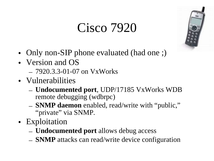#### Cisco 7920



- Only non-SIP phone evaluated (had one ;)
- Version and OS
	- 7920.3.3-01-07 on VxWorks
- Vulnerabilities
	- **Undocumented port**, UDP/17185 VxWorks WDB remote debugging (wdbrpc)
	- **SNMP daemon** enabled, read/write with "public, " "private" via SNMP.
- Exploitation
	- **Undocumented port** allows debug access
	- **SNMP** attacks can read/write device configuration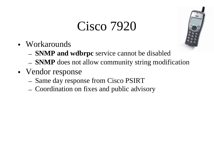#### Cisco 7920



- Workarounds
	- **SNMP and wdbrpc** service cannot be disabled
	- **SNMP** does not allow community string modification
- Vendor response
	- Same day response from Cisco PSIRT
	- Coordination on fixes and public advisory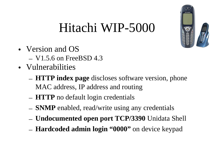### Hitachi WIP-5000

- Version and OS  $-$  V1.5.6 on FreeBSD 4.3
- Vulnerabilities
	- **HTTP index page** discloses software version, phone MAC address, IP address and routing
	- **HTTP** no default login credentials
	- **SNMP** enabled, read/write using any credentials
	- **Undocumented open port TCP/3390** Unidata Shell
	- **Hardcoded admin login "0000"** on device keypad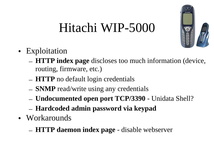# Hitachi WIP-5000



- Exploitation
	- **HTTP index page** discloses too much information (device, routing, firmware, etc.)
	- **HTTP** no default login credentials
	- **SNMP** read/write using any credentials
	- **Undocumented open port TCP/3390** Unidata Shell?
	- **Hardcoded admin password via keypad**
- Workarounds
	- **HTTP daemon index page** disable webserver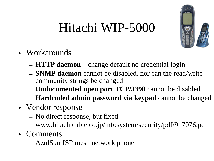# Hitachi WIP-5000



- Workarounds
	- **HTTP daemon –** change default no credential login
	- **SNMP daemon** cannot be disabled, nor can the read/write community strings be changed
	- **Undocumented open port TCP/3390** cannot be disabled
	- **Hardcoded admin password via keypad** cannot be changed
- Vendor response
	- No direct response, but fixed
	- www.hitachicable.co.jp/infosystem/security/pdf/917076.pdf
- Comments
	- AzulStar ISP mesh network phone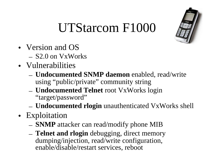## UTStarcom F1000

- Version and OS – S2.0 on VxWorks
- Vulnerabilities
	- **Undocumented SNMP daemon** enabled, read/write using "public/private" community string
	- **Undocumented Telnet** root VxWorks login "target/password"
	- **Undocumented rlogin** unauthenticated VxWorks shell
- Exploitation
	- **SNMP** attacker can read/modify phone MIB
	- **Telnet and rlogin** debugging, direct memory dumping/injection, read/write configuration, enable/disable/restart services, reboot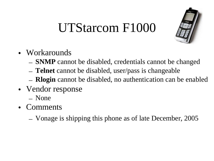#### UTStarcom F1000



- Workarounds
	- **SNMP** cannot be disabled, credentials cannot be changed
	- **Telnet** cannot be disabled, user/pass is changeable
	- **Rlogin** cannot be disabled, no authentication can be enabled
- Vendor response
	- None
- Comments
	- Vonage is shipping this phone as of late December, 2005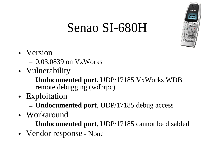

# Senao SI-680H

- Version
	- 0.03.0839 on VxWorks
- Vulnerability
	- **Undocumented port**, UDP/17185 VxWorks WDB remote debugging (wdbrpc)
- Exploitation
	- **Undocumented port**, UDP/17185 debug access
- Workaround
	- **Undocumented port**, UDP/17185 cannot be disabled
- Vendor response None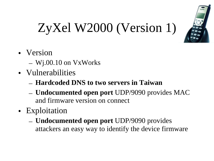

# ZyXel W2000 (Version 1)

- Version
	- Wj.00.10 on VxWorks
- Vulnerabilities
	- **Hardcoded DNS to two servers in Taiwan**
	- **Undocumented open port** UDP/9090 provides MAC and firmware version on connect
- Exploitation
	- **Undocumented open port** UDP/9090 provides attackers an easy way to identify the device firmware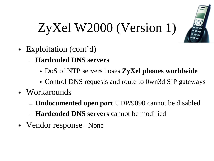

# ZyXel W2000 (Version 1)

- Exploitation (cont'd)
	- **Hardcoded DNS servers**
		- DoS of NTP servers hoses **ZyXel phones worldwide**
		- Control DNS requests and route to 0wn3d SIP gateways
- Workarounds
	- **Undocumented open port** UDP/9090 cannot be disabled
	- **Hardcoded DNS servers** cannot be modified
- Vendor response None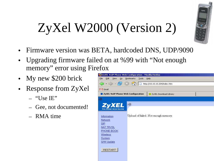# ZyXel W2000 (Version 2)

- Firmware version was BETA, hardcoded DNS, UDP/9090
- Upgrading firmware failed on at %99 with "Not enough" memory" error using Firefox
- My new \$200 brick
- Response from ZyXel
	- $-$  "Use IE"
	- Gee, not documented!
	- RMA time

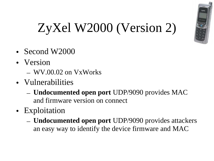

# ZyXel W2000 (Version 2)

- Second W2000
- Version
	- $-$  WV.00.02 on VxWorks
- Vulnerabilities
	- **Undocumented open port** UDP/9090 provides MAC and firmware version on connect
- Exploitation
	- **Undocumented open port** UDP/9090 provides attackers an easy way to identify the device firmware and MAC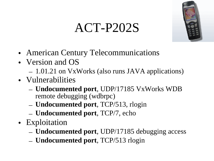# ACT-P202S



- American Century Telecommunications
- Version and OS
	- 1.01.21 on VxWorks (also runs JAVA applications)
- Vulnerabilities
	- **Undocumented port**, UDP/17185 VxWorks WDB remote debugging (wdbrpc)
	- **Undocumented port**, TCP/513, rlogin
	- **Undocumented port**, TCP/7, echo
- Exploitation
	- **Undocumented port**, UDP/17185 debugging access
	- **Undocumented port**, TCP/513 rlogin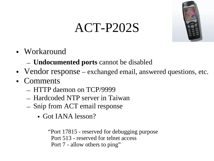#### • Workaround

- **Undocumented ports** cannot be disabled
- Vendor response exchanged email, answered questions, etc.

ACT-P202S

- Comments
	- HTTP daemon on TCP/9999
	- Hardcoded NTP server in Taiwan
	- Snip from ACT email response
		- Got IANA lesson?

"Port 17815 - reserved for debugging purpose Port 513 - reserved for telnet access Port 7 - allow others to ping"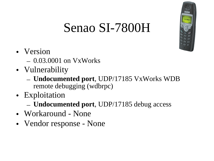### Senao SI-7800H

- Version
	- 0.03.0001 on VxWorks
- Vulnerability
	- **Undocumented port**, UDP/17185 VxWorks WDB remote debugging (wdbrpc)
- Exploitation
	- **Undocumented port**, UDP/17185 debug access
- Workaround None
- Vendor response None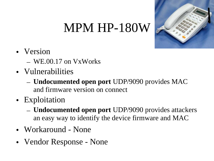#### MPM HP-180W



- Version
	- WE.00.17 on VxWorks
- Vulnerabilities
	- **Undocumented open port** UDP/9090 provides MAC and firmware version on connect
- Exploitation
	- **Undocumented open port** UDP/9090 provides attackers an easy way to identify the device firmware and MAC
- Workaround None
- Vendor Response None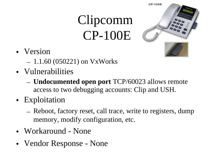# Clipcomm CP-100E



- Version
	- 1.1.60 (050221) on VxWorks
- Vulnerabilities
	- **Undocumented open port** TCP/60023 allows remote access to two debugging accounts: Clip and USH.
- Exploitation
	- Reboot, factory reset, call trace, write to registers, dump memory, modify configuration, etc.
- Workaround None
- Vendor Response None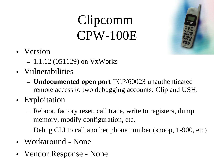# Clipcomm CPW-100E



- Version
	- 1.1.12 (051129) on VxWorks
- Vulnerabilities
	- **Undocumented open port** TCP/60023 unauthenticated remote access to two debugging accounts: Clip and USH.
- Exploitation
	- Reboot, factory reset, call trace, write to registers, dump memory, modify configuration, etc.
	- Debug CLI to call another phone number (snoop, 1-900, etc)
- Workaround None
- Vendor Response None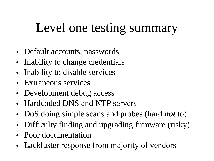#### Level one testing summary

- Default accounts, passwords
- Inability to change credentials
- Inability to disable services
- Extraneous services
- Development debug access
- Hardcoded DNS and NTP servers
- DoS doing simple scans and probes (hard *not* to)
- Difficulty finding and upgrading firmware (risky)
- Poor documentation
- Lackluster response from majority of vendors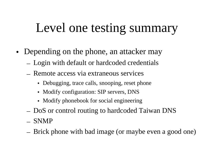#### Level one testing summary

- Depending on the phone, an attacker may
	- Login with default or hardcoded credentials
	- Remote access via extraneous services
		- Debugging, trace calls, snooping, reset phone
		- Modify configuration: SIP servers, DNS
		- Modify phonebook for social engineering
	- DoS or control routing to hardcoded Taiwan DNS
	- SNMP
	- Brick phone with bad image (or maybe even a good one)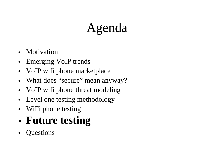# Agenda

- **Motivation**
- Emerging VoIP trends
- VoIP wifi phone marketplace
- What does "secure" mean anyway?
- VoIP wifi phone threat modeling
- Level one testing methodology
- WiFi phone testing
- **Future testing**
- Questions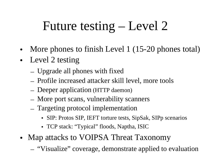# Future testing – Level 2

- More phones to finish Level 1 (15-20 phones total)
- Level 2 testing
	- Upgrade all phones with fixed
	- Profile increased attacker skill level, more tools
	- Deeper application (HTTP daemon)
	- More port scans, vulnerability scanners
	- Targeting protocol implementation
		- SIP: Protos SIP, IEFT torture tests, SipSak, SIPp scenarios
		- TCP stack: "Typical" floods, Naptha, ISIC
- Map attacks to VOIPSA Threat Taxonomy
	- "Visualize" coverage, demonstrate applied to evaluation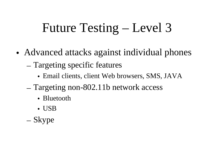### Future Testing – Level 3

- Advanced attacks against individual phones
	- Targeting specific features
		- Email clients, client Web browsers, SMS, JAVA
	- Targeting non-802.11b network access
		- Bluetooth
		- USB
	- Skype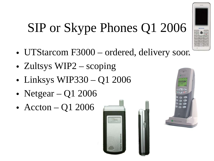# SIP or Skype Phones Q1 2006

- UTStarcom F3000 ordered, delivery soon
- Zultsys WIP2 scoping
- Linksys WIP330 Q1 2006
- Netgear  $Q1$  2006
- Accton Q1 2006





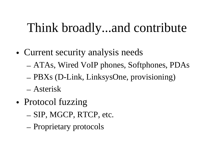#### Think broadly...and contribute

- Current security analysis needs
	- ATAs, Wired VoIP phones, Softphones, PDAs
	- PBXs (D-Link, LinksysOne, provisioning)
	- Asterisk
- Protocol fuzzing
	- SIP, MGCP, RTCP, etc.
	- Proprietary protocols